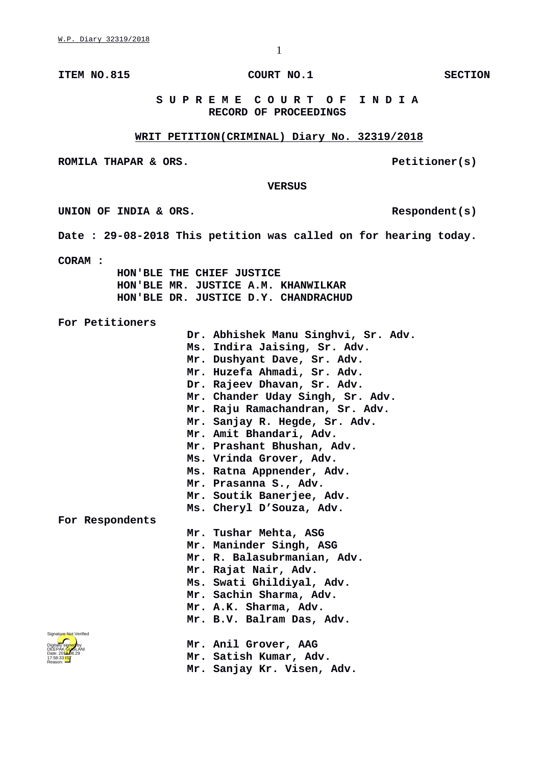**ITEM NO.815 COURT NO.1 SECTION** 

## **S U P R E M E C O U R T O F I N D I A RECORD OF PROCEEDINGS**

## **WRIT PETITION(CRIMINAL) Diary No. 32319/2018**

**ROMILA THAPAR & ORS.** Petitioner(s)

 **VERSUS**

UNION OF INDIA & ORS.

**Date : 29-08-2018 This petition was called on for hearing today.**

**CORAM :** 

Digitally signed by DEEPAK GUGLANI Date: 2018.08.29 17:58:33 IST Reason:

Signature Not Verified

 **HON'BLE THE CHIEF JUSTICE HON'BLE MR. JUSTICE A.M. KHANWILKAR HON'BLE DR. JUSTICE D.Y. CHANDRACHUD**

**For Petitioners**

**Dr. Abhishek Manu Singhvi, Sr. Adv. Ms. Indira Jaising, Sr. Adv. Mr. Dushyant Dave, Sr. Adv. Mr. Huzefa Ahmadi, Sr. Adv. Dr. Rajeev Dhavan, Sr. Adv. Mr. Chander Uday Singh, Sr. Adv. Mr. Raju Ramachandran, Sr. Adv. Mr. Sanjay R. Hegde, Sr. Adv. Mr. Amit Bhandari, Adv. Mr. Prashant Bhushan, Adv. Ms. Vrinda Grover, Adv. Ms. Ratna Appnender, Adv. Mr. Prasanna S., Adv. Mr. Soutik Banerjee, Adv. Ms. Cheryl D'Souza, Adv. For Respondents Mr. Tushar Mehta, ASG Mr. Maninder Singh, ASG Mr. R. Balasubrmanian, Adv. Mr. Rajat Nair, Adv. Ms. Swati Ghildiyal, Adv. Mr. Sachin Sharma, Adv. Mr. A.K. Sharma, Adv. Mr. B.V. Balram Das, Adv. Mr. Anil Grover, AAG Mr. Satish Kumar, Adv. Mr. Sanjay Kr. Visen, Adv.**

1